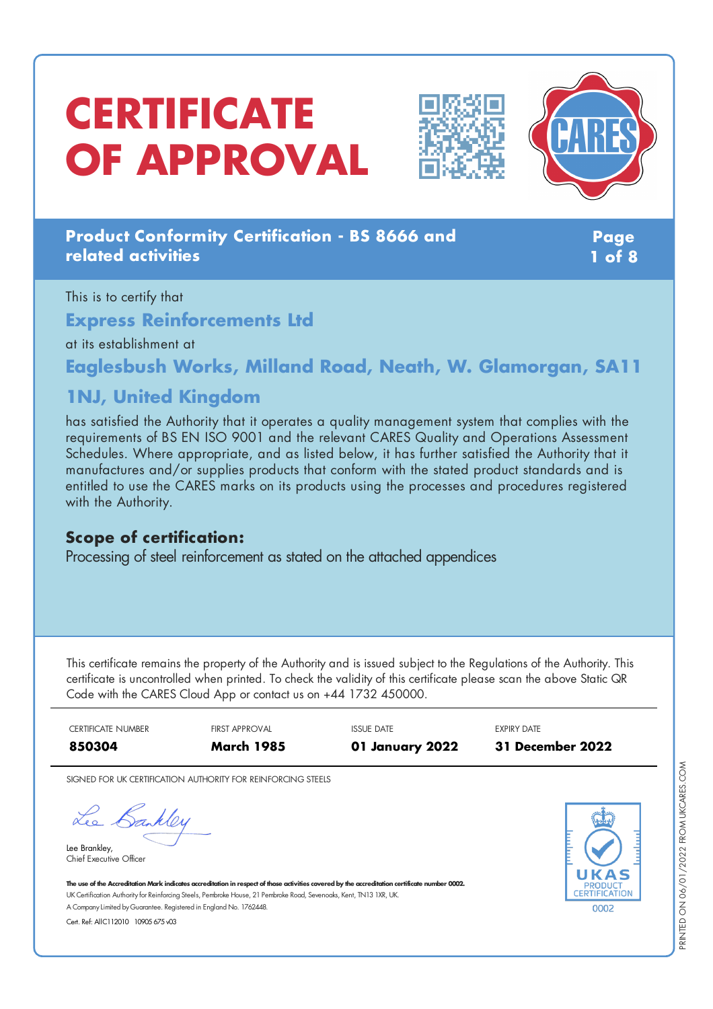# **CERTIFICATE OF APPROVAL**





# **Product Conformity Certification - BS 8666 and related activities**

**Page 1 of 8**

This is to certify that **Express Reinforcements Ltd** at its establishment at

**Eaglesbush Works, Milland Road, Neath, W. Glamorgan, SA11**

# **1NJ, United Kingdom**

has satisfied the Authority that it operates a quality management system that complies with the requirements of BS EN ISO 9001 and the relevant CARES Quality and Operations Assessment Schedules. Where appropriate, and as listed below, it has further satisfied the Authority that it manufactures and/or supplies products that conform with the stated product standards and is entitled to use the CARES marks on its products using the processes and procedures registered with the Authority.

### **Scope of certification:**

Processing of steel reinforcement as stated on the attached appendices

This certificate remains the property of the Authority and is issued subject to the Regulations of the Authority. This certificate is uncontrolled when printed. To check the validity of this certificate please scan the above Static QR Code with the CARES Cloud App or contact us on +44 1732 450000.

| CERTIFICATE NUMBER | <b>FIRST APPROVAL</b> | <b>ISSUE DATE</b> | <b>EXPIRY DATE</b> |
|--------------------|-----------------------|-------------------|--------------------|
| 850304             | <b>March 1985</b>     | 01 January 2022   | 31 December 2022   |

SIGNED FOR UK CERTIFICATION AUTHORITY FOR REINFORCING STEELS

Lee Bankley

Lee Brankley, Chief Executive Officer



The use of the Accreditation Mark indicates accreditation in respect of those activities covered by the accreditation certificate number 0002. UK Certification Authority for Reinforcing Steels, Pembroke House, 21 Pembroke Road, Sevenoaks, Kent, TN13 1XR, UK. A CompanyLimited byGuarantee. Registered in England No. 1762448.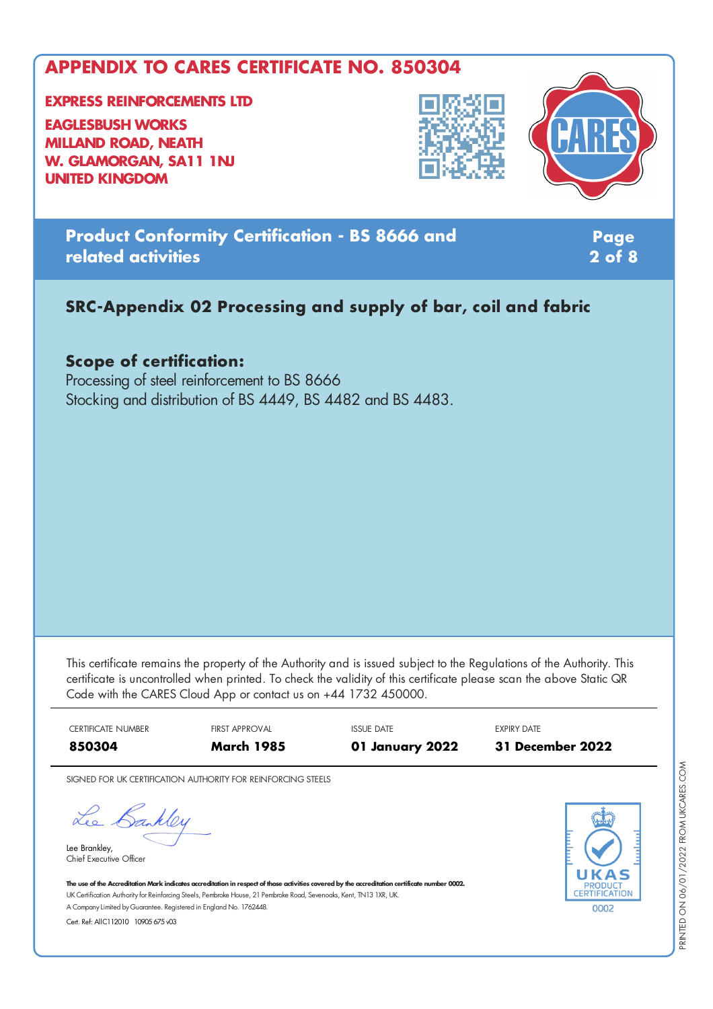**EXPRESS REINFORCEMENTS LTD**

**EAGLESBUSH WORKS MILLAND ROAD, NEATH W. GLAMORGAN, SA11 1NJ UNITED KINGDOM**



**Product Conformity Certification - BS 8666 and related activities**

**Page 2 of 8**

### **SRC-Appendix 02 Processing and supply of bar, coil and fabric**

#### **Scope of certification:**

Processing of steel reinforcement to BS 8666 Stocking and distribution of BS 4449, BS 4482 and BS 4483.

This certificate remains the property of the Authority and is issued subject to the Regulations of the Authority. This certificate is uncontrolled when printed. To check the validity of this certificate please scan the above Static QR Code with the CARES Cloud App or contact us on +44 1732 450000.



SIGNED FOR UK CERTIFICATION AUTHORITY FOR REINFORCING STEELS

Lee Bankley

Lee Brankley, Chief Executive Officer 0002

The use of the Accreditation Mark indicates accreditation in respect of those activities covered by the accreditation certificate number 0002. UK Certification Authority for Reinforcing Steels, Pembroke House, 21 Pembroke Road, Sevenoaks, Kent, TN13 1XR, UK. A CompanyLimited byGuarantee. Registered in England No. 1762448.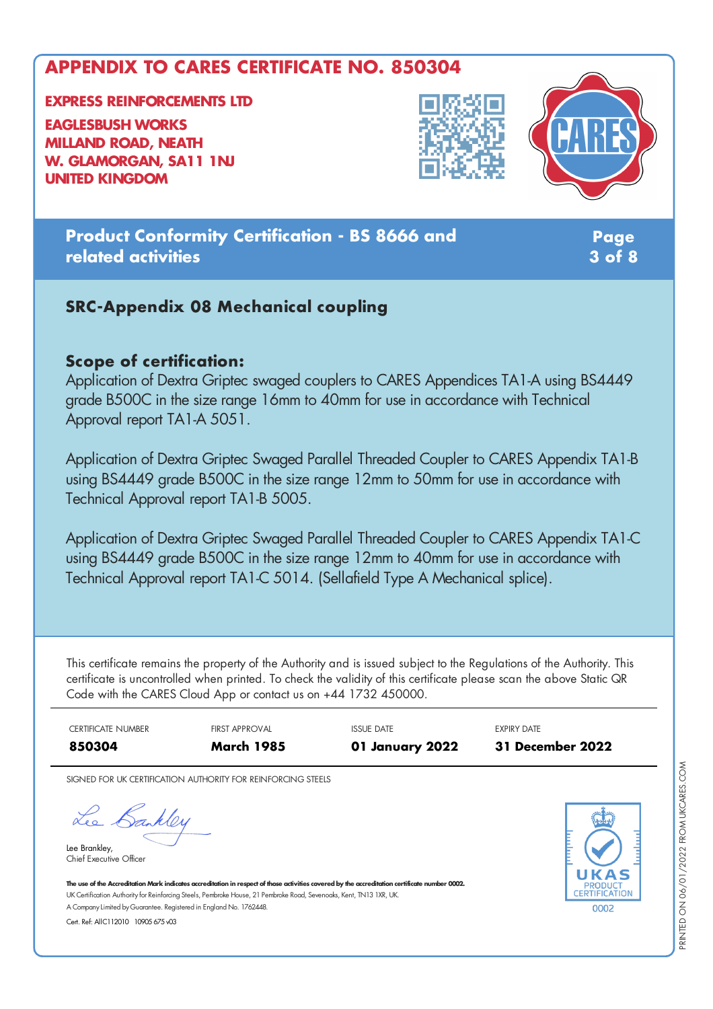**EXPRESS REINFORCEMENTS LTD EAGLESBUSH WORKS**

**MILLAND ROAD, NEATH W. GLAMORGAN, SA11 1NJ UNITED KINGDOM**





**Product Conformity Certification - BS 8666 and related activities**

**Page 3 of 8**

#### **SRC-Appendix 08 Mechanical coupling**

#### **Scope of certification:**

Application of Dextra Griptec swaged couplers to CARES Appendices TA1-A using BS4449 grade B500C in the size range 16mm to 40mm for use in accordance with Technical Approval report TA1-A 5051.

Application of Dextra Griptec Swaged Parallel Threaded Coupler to CARES Appendix TA1-B using BS4449 grade B500C in the size range 12mm to 50mm for use in accordance with Technical Approval report TA1-B 5005.

Application of Dextra Griptec Swaged Parallel Threaded Coupler to CARES Appendix TA1-C using BS4449 grade B500C in the size range 12mm to 40mm for use in accordance with Technical Approval report TA1-C 5014. (Sellafield Type A Mechanical splice).

This certificate remains the property of the Authority and is issued subject to the Regulations of the Authority. This certificate is uncontrolled when printed. To check the validity of this certificate please scan the above Static QR Code with the CARES Cloud App or contact us on +44 1732 450000.

CERTIFICATE NUMBER FIRST APPROVAL ISSUE DATE EXPIRY DATE **850304 March 1985 01 January 2022 31 December 2022**

SIGNED FOR UK CERTIFICATION AUTHORITY FOR REINFORCING STEELS

Lee Bankley

Lee Brankley, Chief Executive Officer



The use of the Accreditation Mark indicates accreditation in respect of those activities covered by the accreditation certificate number 0002. UK Certification Authority for Reinforcing Steels, Pembroke House, 21 Pembroke Road, Sevenoaks, Kent, TN13 1XR, UK. A CompanyLimited byGuarantee. Registered in England No. 1762448.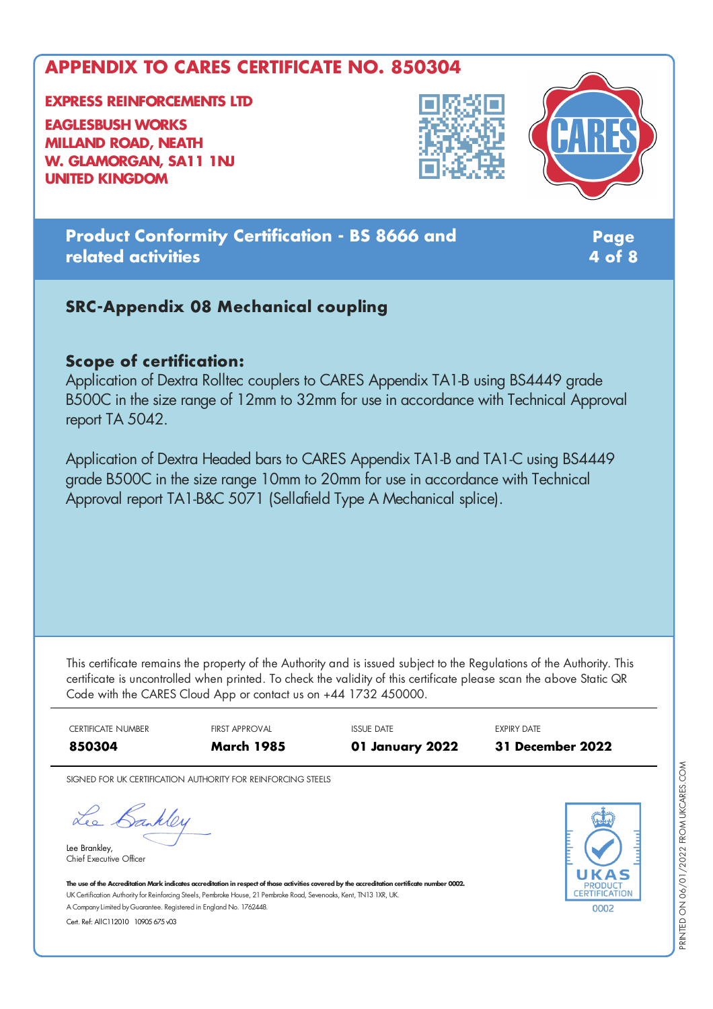**EXPRESS REINFORCEMENTS LTD**

**EAGLESBUSH WORKS MILLAND ROAD, NEATH W. GLAMORGAN, SA11 1NJ UNITED KINGDOM**





**Product Conformity Certification - BS 8666 and related activities**

**Page 4 of 8**

#### **SRC-Appendix 08 Mechanical coupling**

#### **Scope of certification:**

Application of Dextra Rolltec couplers to CARES Appendix TA1-B using BS4449 grade B500C in the size range of 12mm to 32mm for use in accordance with Technical Approval report TA 5042.

Application of Dextra Headed bars to CARES Appendix TA1-B and TA1-C using BS4449 grade B500C in the size range 10mm to 20mm for use in accordance with Technical Approval report TA1-B&C 5071 (Sellafield Type A Mechanical splice).

This certificate remains the property of the Authority and is issued subject to the Regulations of the Authority. This certificate is uncontrolled when printed. To check the validity of this certificate please scan the above Static QR Code with the CARES Cloud App or contact us on +44 1732 450000.



SIGNED FOR UK CERTIFICATION AUTHORITY FOR REINFORCING STEELS

Lee Bankley

Lee Brankley, Chief Executive Officer



The use of the Accreditation Mark indicates accreditation in respect of those activities covered by the accreditation certificate number 0002. UK Certification Authority for Reinforcing Steels, Pembroke House, 21 Pembroke Road, Sevenoaks, Kent, TN13 1XR, UK. A CompanyLimited byGuarantee. Registered in England No. 1762448.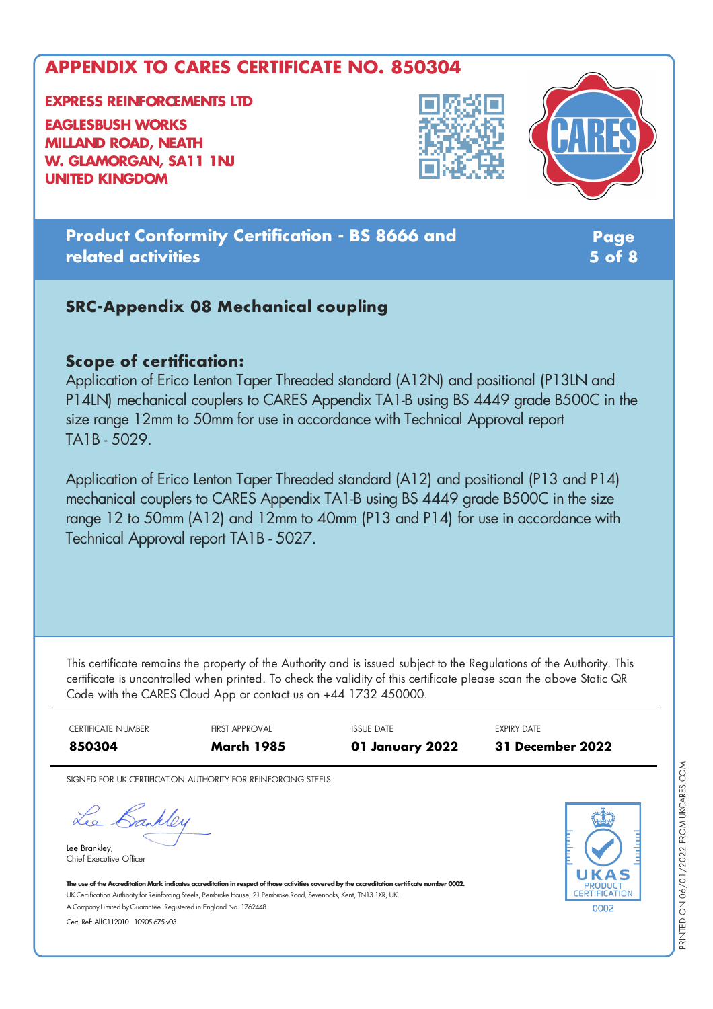**EXPRESS REINFORCEMENTS LTD EAGLESBUSH WORKS**

**MILLAND ROAD, NEATH W. GLAMORGAN, SA11 1NJ UNITED KINGDOM**





**Product Conformity Certification - BS 8666 and related activities**

**Page 5 of 8**

#### **SRC-Appendix 08 Mechanical coupling**

#### **Scope of certification:**

Application of Erico Lenton Taper Threaded standard (A12N) and positional (P13LN and P14LN) mechanical couplers to CARES Appendix TA1-B using BS 4449 grade B500C in the size range 12mm to 50mm for use in accordance with Technical Approval report TA1B - 5029.

Application of Erico Lenton Taper Threaded standard (A12) and positional (P13 and P14) mechanical couplers to CARES Appendix TA1-B using BS 4449 grade B500C in the size range 12 to 50mm (A12) and 12mm to 40mm (P13 and P14) for use in accordance with Technical Approval report TA1B - 5027.

This certificate remains the property of the Authority and is issued subject to the Regulations of the Authority. This certificate is uncontrolled when printed. To check the validity of this certificate please scan the above Static QR Code with the CARES Cloud App or contact us on +44 1732 450000.

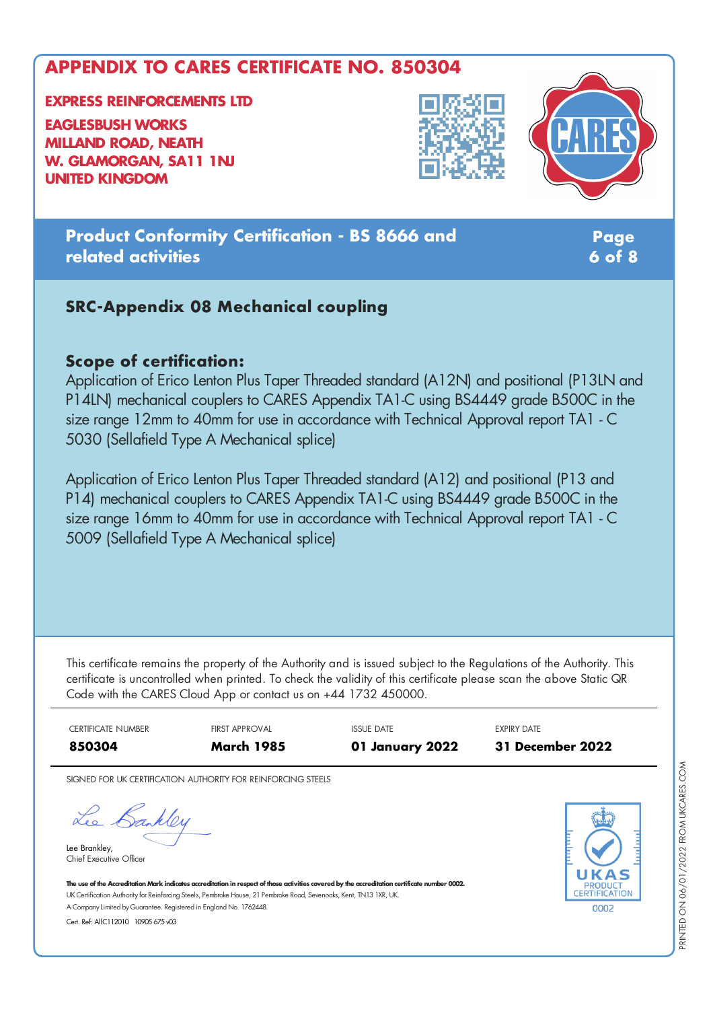**EXPRESS REINFORCEMENTS LTD EAGLESBUSH WORKS MILLAND ROAD, NEATH**

**W. GLAMORGAN, SA11 1NJ UNITED KINGDOM**





**Product Conformity Certification - BS 8666 and related activities**

**Page 6 of 8**

#### **SRC-Appendix 08 Mechanical coupling**

#### **Scope of certification:**

Application of Erico Lenton Plus Taper Threaded standard (A12N) and positional (P13LN and P14LN) mechanical couplers to CARES Appendix TA1-C using BS4449 grade B500C in the size range 12mm to 40mm for use in accordance with Technical Approval report TA1 - C 5030 (Sellafield Type A Mechanical splice)

Application of Erico Lenton Plus Taper Threaded standard (A12) and positional (P13 and P14) mechanical couplers to CARES Appendix TA1-C using BS4449 grade B500C in the size range 16mm to 40mm for use in accordance with Technical Approval report TA1 - C 5009 (Sellafield Type A Mechanical splice)

This certificate remains the property of the Authority and is issued subject to the Regulations of the Authority. This certificate is uncontrolled when printed. To check the validity of this certificate please scan the above Static QR Code with the CARES Cloud App or contact us on +44 1732 450000.



SIGNED FOR UK CERTIFICATION AUTHORITY FOR REINFORCING STEELS

Lee Bankley

Lee Brankley, Chief Executive Officer



The use of the Accreditation Mark indicates accreditation in respect of those activities covered by the accreditation certificate number 0002. UK Certification Authority for Reinforcing Steels, Pembroke House, 21 Pembroke Road, Sevenoaks, Kent, TN13 1XR, UK. A CompanyLimited byGuarantee. Registered in England No. 1762448.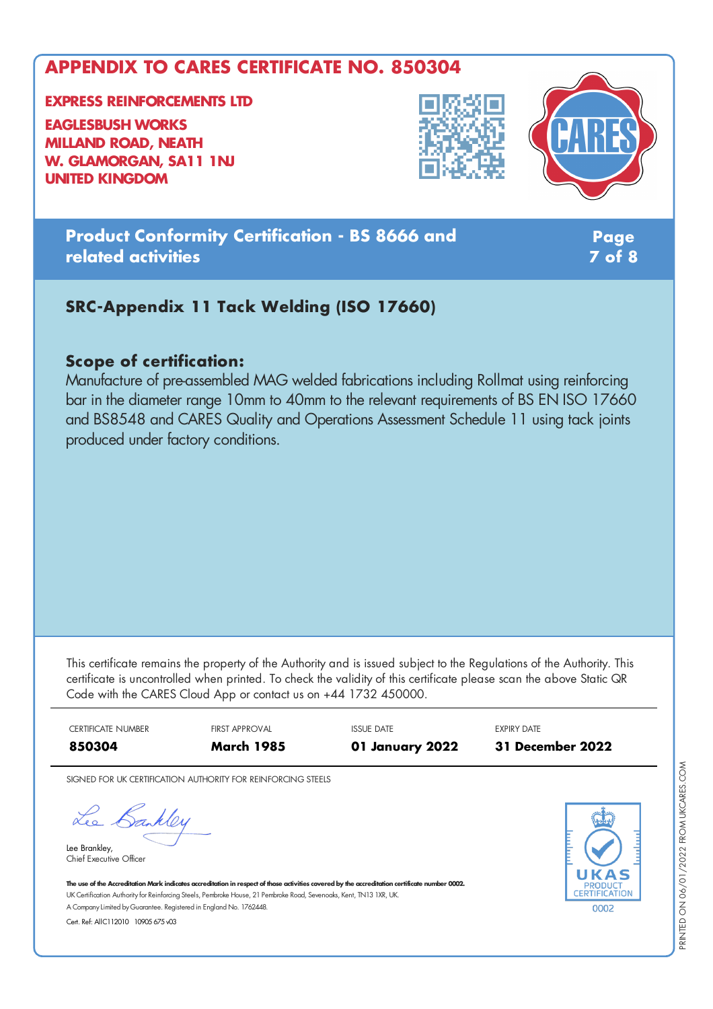**EXPRESS REINFORCEMENTS LTD**

**EAGLESBUSH WORKS MILLAND ROAD, NEATH W. GLAMORGAN, SA11 1NJ UNITED KINGDOM**





**Product Conformity Certification - BS 8666 and related activities**

**Page 7 of 8**

# **SRC-Appendix 11 Tack Welding (ISO 17660)**

#### **Scope of certification:**

Manufacture of pre-assembled MAG welded fabrications including Rollmat using reinforcing bar in the diameter range 10mm to 40mm to the relevant requirements of BS EN ISO 17660 and BS8548 and CARES Quality and Operations Assessment Schedule 11 using tack joints produced under factory conditions.

This certificate remains the property of the Authority and is issued subject to the Regulations of the Authority. This certificate is uncontrolled when printed. To check the validity of this certificate please scan the above Static QR Code with the CARES Cloud App or contact us on +44 1732 450000.



SIGNED FOR UK CERTIFICATION AUTHORITY FOR REINFORCING STEELS

Lee Bankley

Lee Brankley, Chief Executive Officer



The use of the Accreditation Mark indicates accreditation in respect of those activities covered by the accreditation certificate number 0002. UK Certification Authority for Reinforcing Steels, Pembroke House, 21 Pembroke Road, Sevenoaks, Kent, TN13 1XR, UK. A CompanyLimited byGuarantee. Registered in England No. 1762448.